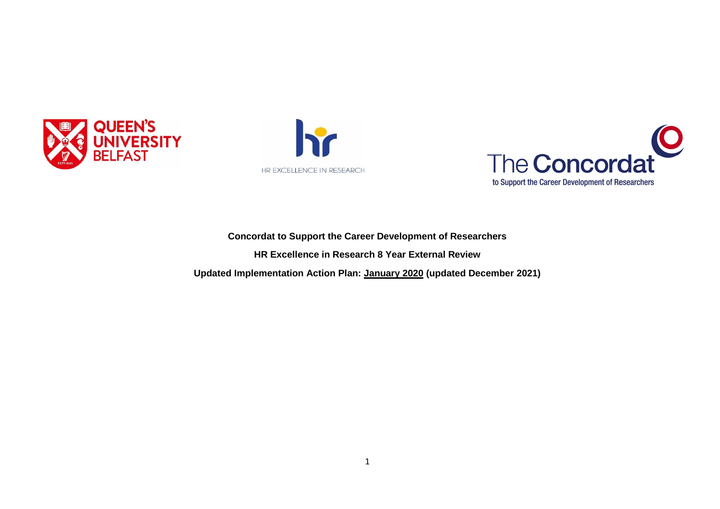





**Concordat to Support the Career Development of Researchers HR Excellence in Research 8 Year External Review Updated Implementation Action Plan: January 2020 (updated December 2021)**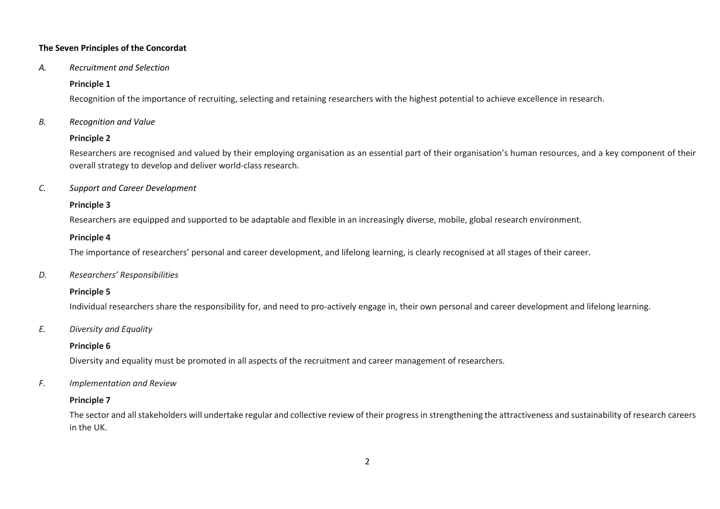#### **The Seven Principles of the Concordat**

## *A. Recruitment and Selection*

## **Principle 1**

Recognition of the importance of recruiting, selecting and retaining researchers with the highest potential to achieve excellence in research.

## *B. Recognition and Value*

### **Principle 2**

Researchers are recognised and valued by their employing organisation as an essential part of their organisation's human resources, and a key component of their overall strategy to develop and deliver world-class research.

## *C. Support and Career Development*

### **Principle 3**

Researchers are equipped and supported to be adaptable and flexible in an increasingly diverse, mobile, global research environment.

## **Principle 4**

The importance of researchers' personal and career development, and lifelong learning, is clearly recognised at all stages of their career.

## *D. Researchers' Responsibilities*

## **Principle 5**

Individual researchers share the responsibility for, and need to pro-actively engage in, their own personal and career development and lifelong learning.

## *E. Diversity and Equality*

## **Principle 6**

Diversity and equality must be promoted in all aspects of the recruitment and career management of researchers.

## *F. Implementation and Review*

## **Principle 7**

The sector and all stakeholders will undertake regular and collective review of their progress in strengthening the attractiveness and sustainability of research careers in the UK.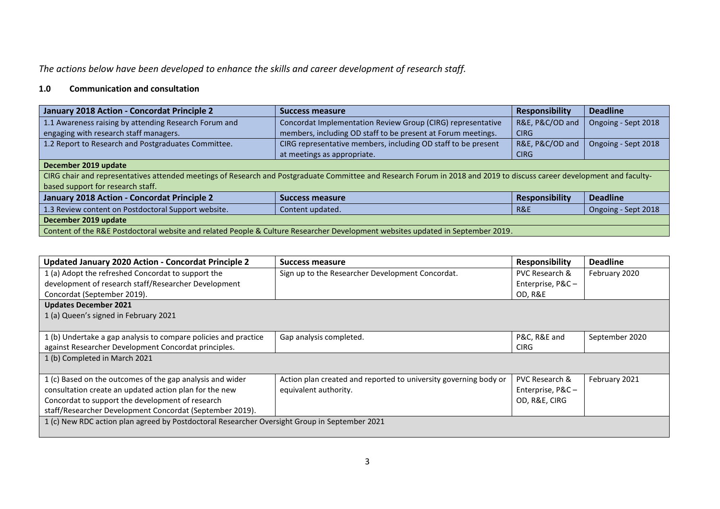## *The actions below have been developed to enhance the skills and career development of research staff.*

## **1.0 Communication and consultation**

| January 2018 Action - Concordat Principle 2           | <b>Success measure</b>                                                                                                                                                 | <b>Responsibility</b> | <b>Deadline</b>     |  |
|-------------------------------------------------------|------------------------------------------------------------------------------------------------------------------------------------------------------------------------|-----------------------|---------------------|--|
| 1.1 Awareness raising by attending Research Forum and | Concordat Implementation Review Group (CIRG) representative                                                                                                            | R&E, P&C/OD and       | Ongoing - Sept 2018 |  |
| engaging with research staff managers.                | members, including OD staff to be present at Forum meetings.                                                                                                           | <b>CIRG</b>           |                     |  |
| 1.2 Report to Research and Postgraduates Committee.   | CIRG representative members, including OD staff to be present                                                                                                          | R&E, P&C/OD and       | Ongoing - Sept 2018 |  |
|                                                       | at meetings as appropriate.                                                                                                                                            | <b>CIRG</b>           |                     |  |
| December 2019 update                                  |                                                                                                                                                                        |                       |                     |  |
|                                                       | CIRG chair and representatives attended meetings of Research and Postgraduate Committee and Research Forum in 2018 and 2019 to discuss career development and faculty- |                       |                     |  |
| based support for research staff.                     |                                                                                                                                                                        |                       |                     |  |
| January 2018 Action - Concordat Principle 2           | Success measure                                                                                                                                                        | <b>Responsibility</b> | <b>Deadline</b>     |  |
| 1.3 Review content on Postdoctoral Support website.   | Content updated.                                                                                                                                                       | R&E                   | Ongoing - Sept 2018 |  |
| December 2019 update                                  |                                                                                                                                                                        |                       |                     |  |
|                                                       | Content of the R&E Postdoctoral website and related People & Culture Researcher Development websites updated in September 2019.                                        |                       |                     |  |

| Updated January 2020 Action - Concordat Principle 2                                           | Success measure                                                  | <b>Responsibility</b>     | <b>Deadline</b> |
|-----------------------------------------------------------------------------------------------|------------------------------------------------------------------|---------------------------|-----------------|
| 1 (a) Adopt the refreshed Concordat to support the                                            | Sign up to the Researcher Development Concordat.                 | PVC Research &            | February 2020   |
| development of research staff/Researcher Development                                          |                                                                  | Enterprise, P&C-          |                 |
| Concordat (September 2019).                                                                   |                                                                  | OD, R&E                   |                 |
| <b>Updates December 2021</b>                                                                  |                                                                  |                           |                 |
| 1 (a) Queen's signed in February 2021                                                         |                                                                  |                           |                 |
|                                                                                               |                                                                  |                           |                 |
| 1 (b) Undertake a gap analysis to compare policies and practice                               | Gap analysis completed.                                          | P&C, R&E and              | September 2020  |
| against Researcher Development Concordat principles.                                          |                                                                  | <b>CIRG</b>               |                 |
| 1 (b) Completed in March 2021                                                                 |                                                                  |                           |                 |
|                                                                                               |                                                                  |                           |                 |
| 1 (c) Based on the outcomes of the gap analysis and wider                                     | Action plan created and reported to university governing body or | <b>PVC Research &amp;</b> | February 2021   |
| consultation create an updated action plan for the new                                        | equivalent authority.                                            | Enterprise, $P&C$ –       |                 |
| Concordat to support the development of research                                              |                                                                  | OD, R&E, CIRG             |                 |
| staff/Researcher Development Concordat (September 2019).                                      |                                                                  |                           |                 |
| 1 (c) New RDC action plan agreed by Postdoctoral Researcher Oversight Group in September 2021 |                                                                  |                           |                 |
|                                                                                               |                                                                  |                           |                 |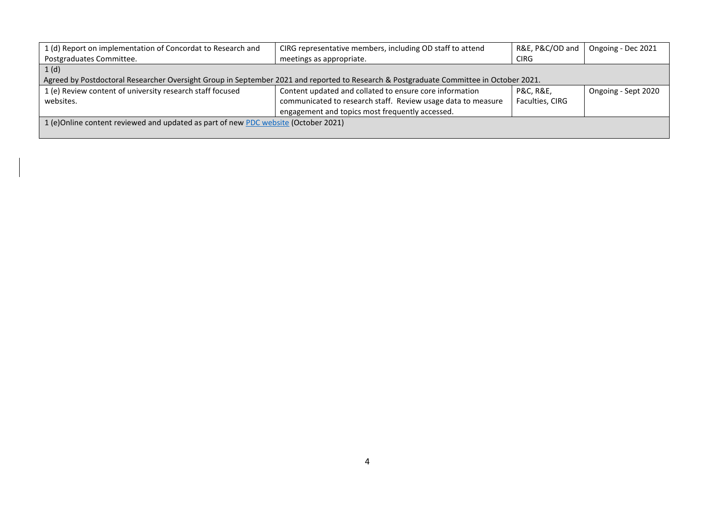| 1 (d) Report on implementation of Concordat to Research and                        | CIRG representative members, including OD staff to attend                                                                              | R&E, P&C/OD and | Ongoing - Dec 2021  |
|------------------------------------------------------------------------------------|----------------------------------------------------------------------------------------------------------------------------------------|-----------------|---------------------|
| Postgraduates Committee.                                                           | meetings as appropriate.                                                                                                               | <b>CIRG</b>     |                     |
| 1(d)                                                                               |                                                                                                                                        |                 |                     |
|                                                                                    | Agreed by Postdoctoral Researcher Oversight Group in September 2021 and reported to Research & Postgraduate Committee in October 2021. |                 |                     |
| 1 (e) Review content of university research staff focused                          | Content updated and collated to ensure core information                                                                                | P&C, R&E,       | Ongoing - Sept 2020 |
| websites.                                                                          | communicated to research staff. Review usage data to measure                                                                           | Faculties, CIRG |                     |
|                                                                                    | engagement and topics most frequently accessed.                                                                                        |                 |                     |
| 1 (e)Online content reviewed and updated as part of new PDC website (October 2021) |                                                                                                                                        |                 |                     |
|                                                                                    |                                                                                                                                        |                 |                     |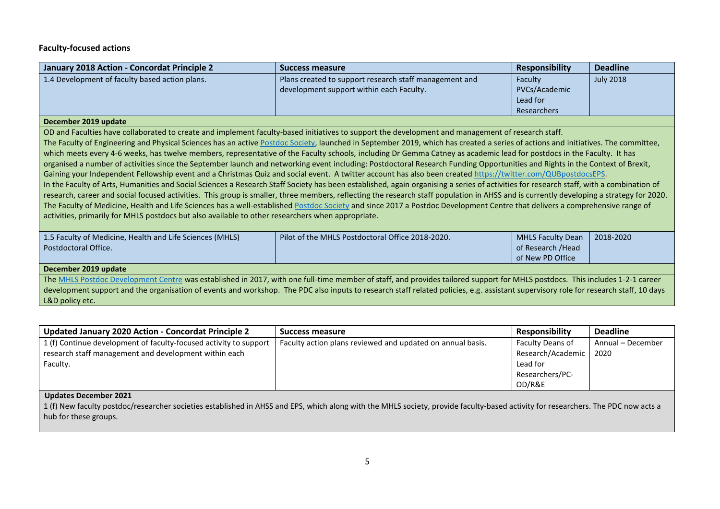## **Faculty-focused actions**

| January 2018 Action - Concordat Principle 2                                                                                                                                  | Success measure                                                                                                                                                                         | <b>Responsibility</b>    | <b>Deadline</b>  |  |  |
|------------------------------------------------------------------------------------------------------------------------------------------------------------------------------|-----------------------------------------------------------------------------------------------------------------------------------------------------------------------------------------|--------------------------|------------------|--|--|
| 1.4 Development of faculty based action plans.                                                                                                                               | Plans created to support research staff management and                                                                                                                                  | Faculty                  | <b>July 2018</b> |  |  |
|                                                                                                                                                                              | development support within each Faculty.                                                                                                                                                | PVCs/Academic            |                  |  |  |
|                                                                                                                                                                              |                                                                                                                                                                                         | Lead for                 |                  |  |  |
|                                                                                                                                                                              |                                                                                                                                                                                         | Researchers              |                  |  |  |
| December 2019 update                                                                                                                                                         |                                                                                                                                                                                         |                          |                  |  |  |
|                                                                                                                                                                              | OD and Faculties have collaborated to create and implement faculty-based initiatives to support the development and management of research staff.                                       |                          |                  |  |  |
|                                                                                                                                                                              | The Faculty of Engineering and Physical Sciences has an active Postdoc Society, launched in September 2019, which has created a series of actions and initiatives. The committee,       |                          |                  |  |  |
|                                                                                                                                                                              | which meets every 4-6 weeks, has twelve members, representative of the Faculty schools, including Dr Gemma Catney as academic lead for postdocs in the Faculty. It has                  |                          |                  |  |  |
|                                                                                                                                                                              | organised a number of activities since the September launch and networking event including: Postdoctoral Research Funding Opportunities and Rights in the Context of Brexit,            |                          |                  |  |  |
|                                                                                                                                                                              | Gaining your Independent Fellowship event and a Christmas Quiz and social event. A twitter account has also been created https://twitter.com/QUBpostdocsEPS.                            |                          |                  |  |  |
|                                                                                                                                                                              | In the Faculty of Arts, Humanities and Social Sciences a Research Staff Society has been established, again organising a series of activities for research staff, with a combination of |                          |                  |  |  |
|                                                                                                                                                                              | research, career and social focused activities. This group is smaller, three members, reflecting the research staff population in AHSS and is currently developing a strategy for 2020. |                          |                  |  |  |
|                                                                                                                                                                              | The Faculty of Medicine, Health and Life Sciences has a well-established Postdoc Society and since 2017 a Postdoc Development Centre that delivers a comprehensive range of             |                          |                  |  |  |
| activities, primarily for MHLS postdocs but also available to other researchers when appropriate.                                                                            |                                                                                                                                                                                         |                          |                  |  |  |
|                                                                                                                                                                              |                                                                                                                                                                                         |                          |                  |  |  |
| 1.5 Faculty of Medicine, Health and Life Sciences (MHLS)                                                                                                                     | Pilot of the MHLS Postdoctoral Office 2018-2020.                                                                                                                                        | <b>MHLS Faculty Dean</b> | 2018-2020        |  |  |
| Postdoctoral Office.                                                                                                                                                         |                                                                                                                                                                                         | of Research / Head       |                  |  |  |
| of New PD Office                                                                                                                                                             |                                                                                                                                                                                         |                          |                  |  |  |
| December 2019 update                                                                                                                                                         |                                                                                                                                                                                         |                          |                  |  |  |
| The MHLS Postdoc Development Centre was established in 2017, with one full-time member of staff, and provides tailored support for MHLS postdocs. This includes 1-2-1 career |                                                                                                                                                                                         |                          |                  |  |  |
|                                                                                                                                                                              | development support and the organisation of events and workshop. The PDC also inputs to research staff related policies, e.g. assistant supervisory role for research staff, 10 days    |                          |                  |  |  |
| L&D policy etc.                                                                                                                                                              |                                                                                                                                                                                         |                          |                  |  |  |

| Updated January 2020 Action - Concordat Principle 2               | Success measure                                            | <b>Responsibility</b>    | <b>Deadline</b>   |
|-------------------------------------------------------------------|------------------------------------------------------------|--------------------------|-------------------|
| 1 (f) Continue development of faculty-focused activity to support | Faculty action plans reviewed and updated on annual basis. | Faculty Deans of         | Annual – December |
| research staff management and development within each             |                                                            | Research/Academic   2020 |                   |
| Faculty.                                                          |                                                            | Lead for                 |                   |
|                                                                   |                                                            | Researchers/PC-          |                   |
|                                                                   |                                                            | OD/R&E                   |                   |

## **Updates December 2021**

1 (f) New faculty postdoc/researcher societies established in AHSS and EPS, which along with the MHLS society, provide faculty-based activity for researchers. The PDC now acts a hub for these groups.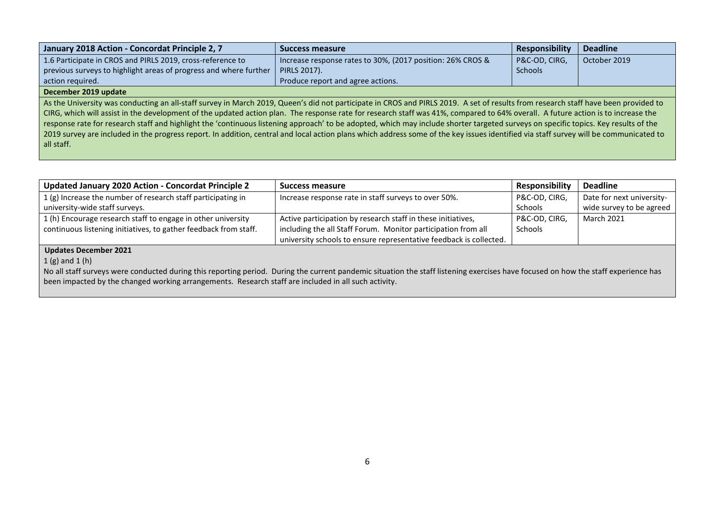| January 2018 Action - Concordat Principle 2, 7                                                                                                                                        | <b>Success measure</b>                                     | <b>Responsibility</b> | <b>Deadline</b> |  |
|---------------------------------------------------------------------------------------------------------------------------------------------------------------------------------------|------------------------------------------------------------|-----------------------|-----------------|--|
| 1.6 Participate in CROS and PIRLS 2019, cross-reference to                                                                                                                            | Increase response rates to 30%, (2017 position: 26% CROS & | P&C-OD, CIRG,         | October 2019    |  |
| previous surveys to highlight areas of progress and where further                                                                                                                     | PIRLS 2017).                                               | <b>Schools</b>        |                 |  |
| action required.                                                                                                                                                                      | Produce report and agree actions.                          |                       |                 |  |
| December 2019 update                                                                                                                                                                  |                                                            |                       |                 |  |
| As the University was conducting an all-staff survey in March 2019, Queen's did not participate in CROS and PIRLS 2019. A set of results from research staff have been provided to    |                                                            |                       |                 |  |
| CIRG, which will assist in the development of the updated action plan. The response rate for research staff was 41%, compared to 64% overall. A future action is to increase the      |                                                            |                       |                 |  |
| response rate for research staff and highlight the 'continuous listening approach' to be adopted, which may include shorter targeted surveys on specific topics. Key results of the   |                                                            |                       |                 |  |
| 2019 survey are included in the progress report. In addition, central and local action plans which address some of the key issues identified via staff survey will be communicated to |                                                            |                       |                 |  |
| all staff.                                                                                                                                                                            |                                                            |                       |                 |  |
|                                                                                                                                                                                       |                                                            |                       |                 |  |

| Updated January 2020 Action - Concordat Principle 2              | Success measure                                                    | <b>Responsibility</b> | Deadline                  |
|------------------------------------------------------------------|--------------------------------------------------------------------|-----------------------|---------------------------|
| 1 (g) Increase the number of research staff participating in     | Increase response rate in staff surveys to over 50%.               | P&C-OD, CIRG,         | Date for next university- |
| university-wide staff surveys.                                   |                                                                    | Schools               | wide survey to be agreed  |
| 1 (h) Encourage research staff to engage in other university     | Active participation by research staff in these initiatives,       | P&C-OD, CIRG,         | March 2021                |
| continuous listening initiatives, to gather feedback from staff. | including the all Staff Forum. Monitor participation from all      | Schools               |                           |
|                                                                  | university schools to ensure representative feedback is collected. |                       |                           |

 $1(g)$  and  $1(h)$ 

No all staff surveys were conducted during this reporting period. During the current pandemic situation the staff listening exercises have focused on how the staff experience has been impacted by the changed working arrangements. Research staff are included in all such activity.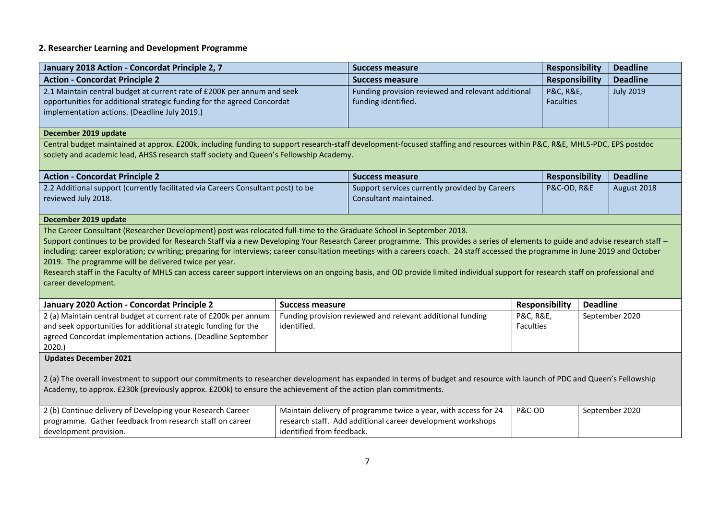## **2. Researcher Learning and Development Programme**

| January 2018 Action - Concordat Principle 2, 7                                                                                                                                                                                                                      |                           | <b>Success measure</b>                                          |                          | <b>Responsibility</b>    | <b>Deadline</b>  |
|---------------------------------------------------------------------------------------------------------------------------------------------------------------------------------------------------------------------------------------------------------------------|---------------------------|-----------------------------------------------------------------|--------------------------|--------------------------|------------------|
| <b>Action - Concordat Principle 2</b>                                                                                                                                                                                                                               |                           | Success measure                                                 |                          | <b>Responsibility</b>    | <b>Deadline</b>  |
| 2.1 Maintain central budget at current rate of £200K per annum and seek                                                                                                                                                                                             |                           | Funding provision reviewed and relevant additional              |                          | <b>P&amp;C, R&amp;E,</b> | <b>July 2019</b> |
| opportunities for additional strategic funding for the agreed Concordat                                                                                                                                                                                             |                           | funding identified.                                             |                          | <b>Faculties</b>         |                  |
| implementation actions. (Deadline July 2019.)                                                                                                                                                                                                                       |                           |                                                                 |                          |                          |                  |
|                                                                                                                                                                                                                                                                     |                           |                                                                 |                          |                          |                  |
| December 2019 update                                                                                                                                                                                                                                                |                           |                                                                 |                          |                          |                  |
| Central budget maintained at approx. £200k, including funding to support research-staff development-focused staffing and resources within P&C, R&E, MHLS-PDC, EPS postdoc<br>society and academic lead, AHSS research staff society and Queen's Fellowship Academy. |                           |                                                                 |                          |                          |                  |
|                                                                                                                                                                                                                                                                     |                           |                                                                 |                          |                          |                  |
| <b>Action - Concordat Principle 2</b>                                                                                                                                                                                                                               |                           | <b>Success measure</b>                                          |                          | <b>Responsibility</b>    | <b>Deadline</b>  |
| 2.2 Additional support (currently facilitated via Careers Consultant post) to be                                                                                                                                                                                    |                           | Support services currently provided by Careers                  |                          | P&C-OD, R&E              | August 2018      |
| reviewed July 2018.                                                                                                                                                                                                                                                 |                           | Consultant maintained.                                          |                          |                          |                  |
|                                                                                                                                                                                                                                                                     |                           |                                                                 |                          |                          |                  |
| December 2019 update                                                                                                                                                                                                                                                |                           |                                                                 |                          |                          |                  |
| The Career Consultant (Researcher Development) post was relocated full-time to the Graduate School in September 2018.                                                                                                                                               |                           |                                                                 |                          |                          |                  |
| Support continues to be provided for Research Staff via a new Developing Your Research Career programme. This provides a series of elements to guide and advise research staff -                                                                                    |                           |                                                                 |                          |                          |                  |
| including: career exploration; cv writing; preparing for interviews; career consultation meetings with a careers coach. 24 staff accessed the programme in June 2019 and October                                                                                    |                           |                                                                 |                          |                          |                  |
| 2019. The programme will be delivered twice per year.<br>Research staff in the Faculty of MHLS can access career support interviews on an ongoing basis, and OD provide limited individual support for research staff on professional and                           |                           |                                                                 |                          |                          |                  |
| career development.                                                                                                                                                                                                                                                 |                           |                                                                 |                          |                          |                  |
|                                                                                                                                                                                                                                                                     |                           |                                                                 |                          |                          |                  |
| January 2020 Action - Concordat Principle 2                                                                                                                                                                                                                         | <b>Success measure</b>    |                                                                 | Responsibility           | <b>Deadline</b>          |                  |
| 2 (a) Maintain central budget at current rate of £200k per annum                                                                                                                                                                                                    |                           | Funding provision reviewed and relevant additional funding      | <b>P&amp;C, R&amp;E,</b> |                          | September 2020   |
| and seek opportunities for additional strategic funding for the                                                                                                                                                                                                     | identified.               |                                                                 | <b>Faculties</b>         |                          |                  |
| agreed Concordat implementation actions. (Deadline September                                                                                                                                                                                                        |                           |                                                                 |                          |                          |                  |
| 2020.                                                                                                                                                                                                                                                               |                           |                                                                 |                          |                          |                  |
| <b>Updates December 2021</b>                                                                                                                                                                                                                                        |                           |                                                                 |                          |                          |                  |
| 2 (a) The overall investment to support our commitments to researcher development has expanded in terms of budget and resource with launch of PDC and Queen's Fellowship                                                                                            |                           |                                                                 |                          |                          |                  |
| Academy, to approx. £230k (previously approx. £200k) to ensure the achievement of the action plan commitments.                                                                                                                                                      |                           |                                                                 |                          |                          |                  |
|                                                                                                                                                                                                                                                                     |                           |                                                                 |                          |                          |                  |
| 2 (b) Continue delivery of Developing your Research Career                                                                                                                                                                                                          |                           | Maintain delivery of programme twice a year, with access for 24 | P&C-OD                   |                          | September 2020   |
| programme. Gather feedback from research staff on career                                                                                                                                                                                                            |                           | research staff. Add additional career development workshops     |                          |                          |                  |
| development provision.                                                                                                                                                                                                                                              | identified from feedback. |                                                                 |                          |                          |                  |
|                                                                                                                                                                                                                                                                     |                           |                                                                 |                          |                          |                  |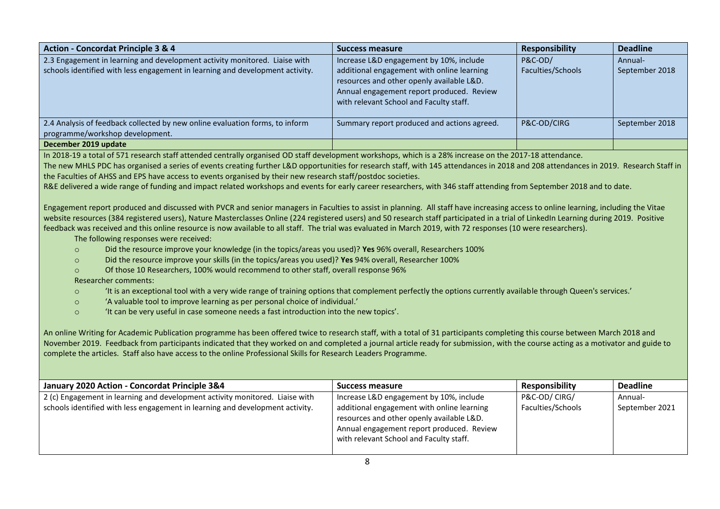| <b>Action - Concordat Principle 3 &amp; 4</b>                                                                                                                                                                                                                                                                                                                                                                                                                                                                                                                                                                                                                                                                                                                                                                                                                                                                                                                                                                                                                                                                                                                                                                                                                                                                                                                                                                                                                                                                                                                                                                                                                                                                                                                                                                                                                                                                                                                                                                                                                                                                                                                                                                                                                                                                                                                                                                                                                                                            | <b>Success measure</b>                                                                                                                                                                                                     | <b>Responsibility</b>                   | <b>Deadline</b>           |  |
|----------------------------------------------------------------------------------------------------------------------------------------------------------------------------------------------------------------------------------------------------------------------------------------------------------------------------------------------------------------------------------------------------------------------------------------------------------------------------------------------------------------------------------------------------------------------------------------------------------------------------------------------------------------------------------------------------------------------------------------------------------------------------------------------------------------------------------------------------------------------------------------------------------------------------------------------------------------------------------------------------------------------------------------------------------------------------------------------------------------------------------------------------------------------------------------------------------------------------------------------------------------------------------------------------------------------------------------------------------------------------------------------------------------------------------------------------------------------------------------------------------------------------------------------------------------------------------------------------------------------------------------------------------------------------------------------------------------------------------------------------------------------------------------------------------------------------------------------------------------------------------------------------------------------------------------------------------------------------------------------------------------------------------------------------------------------------------------------------------------------------------------------------------------------------------------------------------------------------------------------------------------------------------------------------------------------------------------------------------------------------------------------------------------------------------------------------------------------------------------------------------|----------------------------------------------------------------------------------------------------------------------------------------------------------------------------------------------------------------------------|-----------------------------------------|---------------------------|--|
| 2.3 Engagement in learning and development activity monitored. Liaise with<br>schools identified with less engagement in learning and development activity.                                                                                                                                                                                                                                                                                                                                                                                                                                                                                                                                                                                                                                                                                                                                                                                                                                                                                                                                                                                                                                                                                                                                                                                                                                                                                                                                                                                                                                                                                                                                                                                                                                                                                                                                                                                                                                                                                                                                                                                                                                                                                                                                                                                                                                                                                                                                              | Increase L&D engagement by 10%, include<br>additional engagement with online learning<br>resources and other openly available L&D.<br>Annual engagement report produced. Review<br>with relevant School and Faculty staff. | <b>P&amp;C-OD/</b><br>Faculties/Schools | Annual-<br>September 2018 |  |
| 2.4 Analysis of feedback collected by new online evaluation forms, to inform<br>programme/workshop development.                                                                                                                                                                                                                                                                                                                                                                                                                                                                                                                                                                                                                                                                                                                                                                                                                                                                                                                                                                                                                                                                                                                                                                                                                                                                                                                                                                                                                                                                                                                                                                                                                                                                                                                                                                                                                                                                                                                                                                                                                                                                                                                                                                                                                                                                                                                                                                                          | Summary report produced and actions agreed.                                                                                                                                                                                | P&C-OD/CIRG                             | September 2018            |  |
|                                                                                                                                                                                                                                                                                                                                                                                                                                                                                                                                                                                                                                                                                                                                                                                                                                                                                                                                                                                                                                                                                                                                                                                                                                                                                                                                                                                                                                                                                                                                                                                                                                                                                                                                                                                                                                                                                                                                                                                                                                                                                                                                                                                                                                                                                                                                                                                                                                                                                                          |                                                                                                                                                                                                                            |                                         |                           |  |
| December 2019 update<br>In 2018-19 a total of 571 research staff attended centrally organised OD staff development workshops, which is a 28% increase on the 2017-18 attendance.<br>The new MHLS PDC has organised a series of events creating further L&D opportunities for research staff, with 145 attendances in 2018 and 208 attendances in 2019. Research Staff in<br>the Faculties of AHSS and EPS have access to events organised by their new research staff/postdoc societies.<br>R&E delivered a wide range of funding and impact related workshops and events for early career researchers, with 346 staff attending from September 2018 and to date.<br>Engagement report produced and discussed with PVCR and senior managers in Faculties to assist in planning. All staff have increasing access to online learning, including the Vitae<br>website resources (384 registered users), Nature Masterclasses Online (224 registered users) and 50 research staff participated in a trial of LinkedIn Learning during 2019. Positive<br>feedback was received and this online resource is now available to all staff. The trial was evaluated in March 2019, with 72 responses (10 were researchers).<br>The following responses were received:<br>Did the resource improve your knowledge (in the topics/areas you used)? Yes 96% overall, Researchers 100%<br>$\circ$<br>Did the resource improve your skills (in the topics/areas you used)? Yes 94% overall, Researcher 100%<br>$\circ$<br>Of those 10 Researchers, 100% would recommend to other staff, overall response 96%<br>$\Omega$<br><b>Researcher comments:</b><br>'It is an exceptional tool with a very wide range of training options that complement perfectly the options currently available through Queen's services.'<br>$\circ$<br>'A valuable tool to improve learning as per personal choice of individual.'<br>$\circ$<br>'It can be very useful in case someone needs a fast introduction into the new topics'.<br>$\circ$<br>An online Writing for Academic Publication programme has been offered twice to research staff, with a total of 31 participants completing this course between March 2018 and<br>November 2019. Feedback from participants indicated that they worked on and completed a journal article ready for submission, with the course acting as a motivator and guide to<br>complete the articles. Staff also have access to the online Professional Skills for Research Leaders Programme. |                                                                                                                                                                                                                            |                                         |                           |  |
| January 2020 Action - Concordat Principle 3&4                                                                                                                                                                                                                                                                                                                                                                                                                                                                                                                                                                                                                                                                                                                                                                                                                                                                                                                                                                                                                                                                                                                                                                                                                                                                                                                                                                                                                                                                                                                                                                                                                                                                                                                                                                                                                                                                                                                                                                                                                                                                                                                                                                                                                                                                                                                                                                                                                                                            | <b>Success measure</b>                                                                                                                                                                                                     | <b>Responsibility</b>                   | <b>Deadline</b>           |  |
| 2 (c) Engagement in learning and development activity monitored. Liaise with<br>schools identified with less engagement in learning and development activity.                                                                                                                                                                                                                                                                                                                                                                                                                                                                                                                                                                                                                                                                                                                                                                                                                                                                                                                                                                                                                                                                                                                                                                                                                                                                                                                                                                                                                                                                                                                                                                                                                                                                                                                                                                                                                                                                                                                                                                                                                                                                                                                                                                                                                                                                                                                                            | Increase L&D engagement by 10%, include<br>additional engagement with online learning<br>resources and other openly available L&D.<br>Annual engagement report produced. Review<br>with relevant School and Faculty staff. | P&C-OD/CIRG/<br>Faculties/Schools       | Annual-<br>September 2021 |  |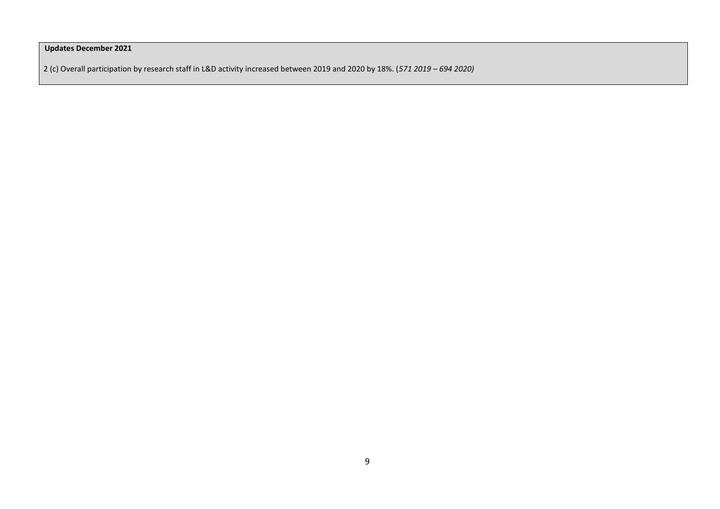2 (c) Overall participation by research staff in L&D activity increased between 2019 and 2020 by 18%. (*571 2019 – 694 2020)*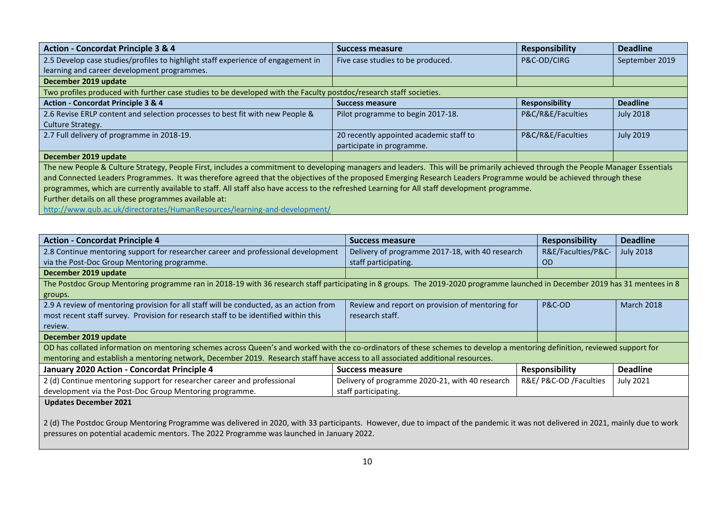| <b>Action - Concordat Principle 3 &amp; 4</b>                                                                                                                                    | Success measure                         | <b>Responsibility</b> | <b>Deadline</b>  |  |  |
|----------------------------------------------------------------------------------------------------------------------------------------------------------------------------------|-----------------------------------------|-----------------------|------------------|--|--|
| 2.5 Develop case studies/profiles to highlight staff experience of engagement in                                                                                                 | Five case studies to be produced.       | P&C-OD/CIRG           | September 2019   |  |  |
| learning and career development programmes.                                                                                                                                      |                                         |                       |                  |  |  |
| December 2019 update                                                                                                                                                             |                                         |                       |                  |  |  |
| Two profiles produced with further case studies to be developed with the Faculty postdoc/research staff societies.                                                               |                                         |                       |                  |  |  |
| <b>Action - Concordat Principle 3 &amp; 4</b>                                                                                                                                    | <b>Success measure</b>                  | <b>Responsibility</b> | <b>Deadline</b>  |  |  |
| 2.6 Revise ERLP content and selection processes to best fit with new People &                                                                                                    | Pilot programme to begin 2017-18.       | P&C/R&E/Faculties     | <b>July 2018</b> |  |  |
| Culture Strategy.                                                                                                                                                                |                                         |                       |                  |  |  |
| 2.7 Full delivery of programme in 2018-19.                                                                                                                                       | 20 recently appointed academic staff to | P&C/R&E/Faculties     | <b>July 2019</b> |  |  |
|                                                                                                                                                                                  | participate in programme.               |                       |                  |  |  |
| December 2019 update                                                                                                                                                             |                                         |                       |                  |  |  |
| The new People & Culture Strategy, People First, includes a commitment to developing managers and leaders. This will be primarily achieved through the People Manager Essentials |                                         |                       |                  |  |  |
| and Connected Leaders Programmes. It was therefore agreed that the objectives of the proposed Emerging Research Leaders Programme would be achieved through these                |                                         |                       |                  |  |  |
| programmes, which are currently available to staff. All staff also have access to the refreshed Learning for All staff development programme.                                    |                                         |                       |                  |  |  |
| Further details on all these programmes available at:                                                                                                                            |                                         |                       |                  |  |  |
| http://www.qub.ac.uk/directorates/HumanResources/learning-and-development/                                                                                                       |                                         |                       |                  |  |  |

| <b>Action - Concordat Principle 4</b>                                                                                                                                            | Success measure                                 |  | <b>Responsibility</b>   | <b>Deadline</b>   |
|----------------------------------------------------------------------------------------------------------------------------------------------------------------------------------|-------------------------------------------------|--|-------------------------|-------------------|
| 2.8 Continue mentoring support for researcher career and professional development                                                                                                | Delivery of programme 2017-18, with 40 research |  | R&E/Faculties/P&C-      | <b>July 2018</b>  |
| via the Post-Doc Group Mentoring programme.                                                                                                                                      | staff participating.                            |  | <b>OD</b>               |                   |
| December 2019 update                                                                                                                                                             |                                                 |  |                         |                   |
| The Postdoc Group Mentoring programme ran in 2018-19 with 36 research staff participating in 8 groups. The 2019-2020 programme launched in December 2019 has 31 mentees in 8     |                                                 |  |                         |                   |
| groups.                                                                                                                                                                          |                                                 |  |                         |                   |
| 2.9 A review of mentoring provision for all staff will be conducted, as an action from                                                                                           | Review and report on provision of mentoring for |  | P&C-OD                  | <b>March 2018</b> |
| most recent staff survey. Provision for research staff to be identified within this                                                                                              | research staff.                                 |  |                         |                   |
| review.                                                                                                                                                                          |                                                 |  |                         |                   |
| December 2019 update                                                                                                                                                             |                                                 |  |                         |                   |
| OD has collated information on mentoring schemes across Queen's and worked with the co-ordinators of these schemes to develop a mentoring definition, reviewed support for       |                                                 |  |                         |                   |
| mentoring and establish a mentoring network, December 2019. Research staff have access to all associated additional resources.                                                   |                                                 |  |                         |                   |
| January 2020 Action - Concordat Principle 4                                                                                                                                      | Success measure                                 |  | <b>Responsibility</b>   | <b>Deadline</b>   |
| 2 (d) Continue mentoring support for researcher career and professional                                                                                                          | Delivery of programme 2020-21, with 40 research |  | R&E/ P&C-OD / Faculties | <b>July 2021</b>  |
| development via the Post-Doc Group Mentoring programme.                                                                                                                          | staff participating.                            |  |                         |                   |
| <b>Updates December 2021</b>                                                                                                                                                     |                                                 |  |                         |                   |
|                                                                                                                                                                                  |                                                 |  |                         |                   |
| 2 (d) The Postdoc Group Mentoring Programme was delivered in 2020, with 33 participants. However, due to impact of the pandemic it was not delivered in 2021, mainly due to work |                                                 |  |                         |                   |
| pressures on potential academic mentors. The 2022 Programme was launched in January 2022.                                                                                        |                                                 |  |                         |                   |
|                                                                                                                                                                                  |                                                 |  |                         |                   |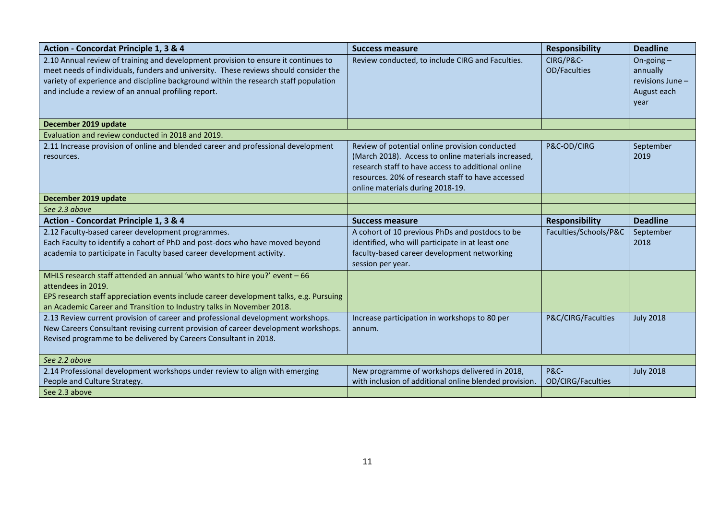| Action - Concordat Principle 1, 3 & 4                                                                                                                                                                                                                               | <b>Success measure</b>                                                                                                                                                                                                                               | <b>Responsibility</b>                | <b>Deadline</b>                              |
|---------------------------------------------------------------------------------------------------------------------------------------------------------------------------------------------------------------------------------------------------------------------|------------------------------------------------------------------------------------------------------------------------------------------------------------------------------------------------------------------------------------------------------|--------------------------------------|----------------------------------------------|
| 2.10 Annual review of training and development provision to ensure it continues to<br>meet needs of individuals, funders and university. These reviews should consider the<br>variety of experience and discipline background within the research staff population  | Review conducted, to include CIRG and Faculties.                                                                                                                                                                                                     | CIRG/P&C-<br><b>OD/Faculties</b>     | On-going $-$<br>annually<br>revisions June - |
| and include a review of an annual profiling report.                                                                                                                                                                                                                 |                                                                                                                                                                                                                                                      |                                      | August each<br>year                          |
| December 2019 update                                                                                                                                                                                                                                                |                                                                                                                                                                                                                                                      |                                      |                                              |
| Evaluation and review conducted in 2018 and 2019.                                                                                                                                                                                                                   |                                                                                                                                                                                                                                                      |                                      |                                              |
| 2.11 Increase provision of online and blended career and professional development<br>resources.                                                                                                                                                                     | Review of potential online provision conducted<br>(March 2018). Access to online materials increased,<br>research staff to have access to additional online<br>resources. 20% of research staff to have accessed<br>online materials during 2018-19. | P&C-OD/CIRG                          | September<br>2019                            |
| December 2019 update                                                                                                                                                                                                                                                |                                                                                                                                                                                                                                                      |                                      |                                              |
| See 2.3 above                                                                                                                                                                                                                                                       |                                                                                                                                                                                                                                                      |                                      |                                              |
| Action - Concordat Principle 1, 3 & 4                                                                                                                                                                                                                               | <b>Success measure</b>                                                                                                                                                                                                                               | <b>Responsibility</b>                | <b>Deadline</b>                              |
| 2.12 Faculty-based career development programmes.<br>Each Faculty to identify a cohort of PhD and post-docs who have moved beyond<br>academia to participate in Faculty based career development activity.                                                          | A cohort of 10 previous PhDs and postdocs to be<br>identified, who will participate in at least one<br>faculty-based career development networking<br>session per year.                                                                              | Faculties/Schools/P&C                | September<br>2018                            |
| MHLS research staff attended an annual 'who wants to hire you?' event - 66<br>attendees in 2019.<br>EPS research staff appreciation events include career development talks, e.g. Pursuing<br>an Academic Career and Transition to Industry talks in November 2018. |                                                                                                                                                                                                                                                      |                                      |                                              |
| 2.13 Review current provision of career and professional development workshops.<br>New Careers Consultant revising current provision of career development workshops.<br>Revised programme to be delivered by Careers Consultant in 2018.                           | Increase participation in workshops to 80 per<br>annum.                                                                                                                                                                                              | P&C/CIRG/Faculties                   | <b>July 2018</b>                             |
| See 2.2 above                                                                                                                                                                                                                                                       |                                                                                                                                                                                                                                                      |                                      |                                              |
| 2.14 Professional development workshops under review to align with emerging<br>People and Culture Strategy.                                                                                                                                                         | New programme of workshops delivered in 2018,<br>with inclusion of additional online blended provision                                                                                                                                               | <b>P&amp;C-</b><br>OD/CIRG/Faculties | <b>July 2018</b>                             |
| See 2.3 above                                                                                                                                                                                                                                                       |                                                                                                                                                                                                                                                      |                                      |                                              |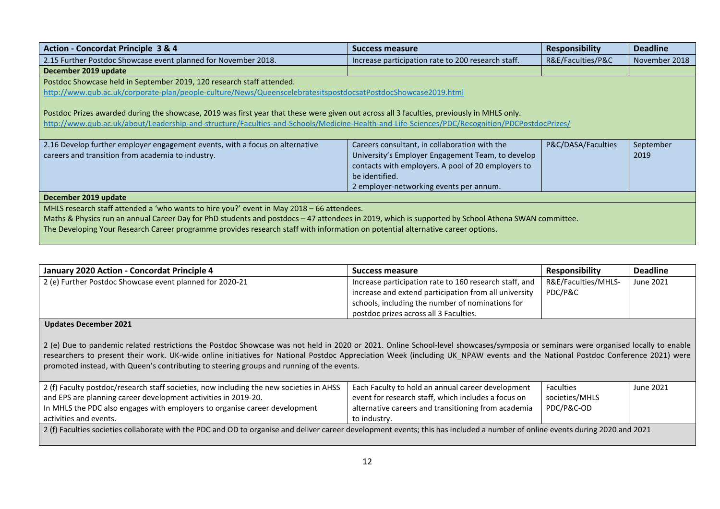| Success measure                                                                                                                                                                                                       | <b>Responsibility</b>                                                                                                           | <b>Deadline</b>                                                                                                                               |  |
|-----------------------------------------------------------------------------------------------------------------------------------------------------------------------------------------------------------------------|---------------------------------------------------------------------------------------------------------------------------------|-----------------------------------------------------------------------------------------------------------------------------------------------|--|
| Increase participation rate to 200 research staff.                                                                                                                                                                    | R&E/Faculties/P&C                                                                                                               | November 2018                                                                                                                                 |  |
|                                                                                                                                                                                                                       |                                                                                                                                 |                                                                                                                                               |  |
|                                                                                                                                                                                                                       |                                                                                                                                 |                                                                                                                                               |  |
| http://www.qub.ac.uk/corporate-plan/people-culture/News/QueenscelebratesitspostdocsatPostdocShowcase2019.html                                                                                                         |                                                                                                                                 |                                                                                                                                               |  |
| Postdoc Prizes awarded during the showcase, 2019 was first year that these were given out across all 3 faculties, previously in MHLS only.                                                                            |                                                                                                                                 |                                                                                                                                               |  |
| Careers consultant, in collaboration with the<br>University's Employer Engagement Team, to develop<br>contacts with employers. A pool of 20 employers to<br>be identified.<br>2 employer-networking events per annum. | P&C/DASA/Faculties                                                                                                              | September<br>2019                                                                                                                             |  |
|                                                                                                                                                                                                                       |                                                                                                                                 |                                                                                                                                               |  |
| MHLS research staff attended a 'who wants to hire you?' event in May 2018 - 66 attendees.                                                                                                                             |                                                                                                                                 |                                                                                                                                               |  |
| Maths & Physics run an annual Career Day for PhD students and postdocs - 47 attendees in 2019, which is supported by School Athena SWAN committee.                                                                    |                                                                                                                                 |                                                                                                                                               |  |
|                                                                                                                                                                                                                       |                                                                                                                                 |                                                                                                                                               |  |
|                                                                                                                                                                                                                       | The Developing Your Research Career programme provides research staff with information on potential alternative career options. | http://www.qub.ac.uk/about/Leadership-and-structure/Faculties-and-Schools/Medicine-Health-and-Life-Sciences/PDC/Recognition/PDCPostdocPrizes/ |  |

| January 2020 Action - Concordat Principle 4              | Success measure                                        | <b>Responsibility</b> | <b>Deadline</b> |
|----------------------------------------------------------|--------------------------------------------------------|-----------------------|-----------------|
| 2 (e) Further Postdoc Showcase event planned for 2020-21 | Increase participation rate to 160 research staff, and | R&E/Faculties/MHLS-   | June 2021       |
|                                                          | increase and extend participation from all university  | PDC/P&C               |                 |
|                                                          | schools, including the number of nominations for       |                       |                 |
|                                                          | postdoc prizes across all 3 Faculties.                 |                       |                 |
| .<br>-----                                               |                                                        |                       |                 |

2 (e) Due to pandemic related restrictions the Postdoc Showcase was not held in 2020 or 2021. Online School-level showcases/symposia or seminars were organised locally to enable researchers to present their work. UK-wide online initiatives for National Postdoc Appreciation Week (including UK\_NPAW events and the National Postdoc Conference 2021) were promoted instead, with Queen's contributing to steering groups and running of the events.

| 2 (f) Faculty postdoc/research staff societies, now including the new societies in AHSS                                 | Each Faculty to hold an annual career development   | <b>Faculties</b> | June 2021 |
|-------------------------------------------------------------------------------------------------------------------------|-----------------------------------------------------|------------------|-----------|
| and EPS are planning career development activities in 2019-20.                                                          | event for research staff, which includes a focus on | societies/MHLS   |           |
| In MHLS the PDC also engages with employers to organise career development                                              | alternative careers and transitioning from academia | PDC/P&C-OD       |           |
| activities and events.                                                                                                  | to industry.                                        |                  |           |
| 2020 and 2021 2016 2016 and eliver development evants: this has included a number of online events during 2020 and 2021 |                                                     |                  |           |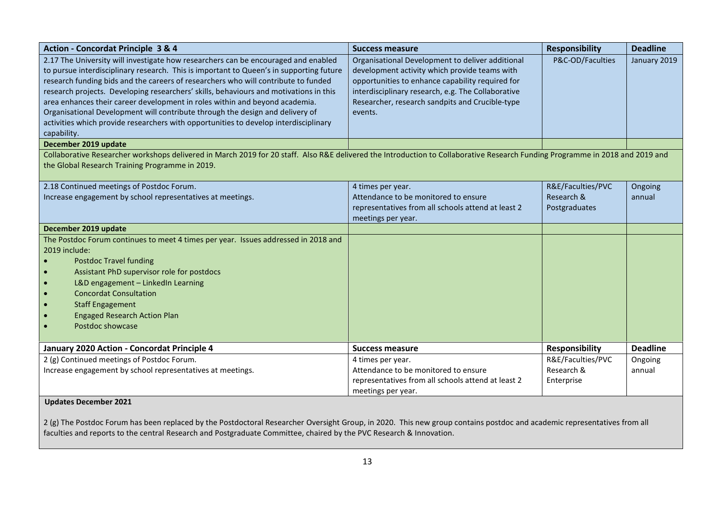| <b>Action - Concordat Principle 3 &amp; 4</b>                                                                                                                                                                                                                                                                                                                                                                                               | <b>Success measure</b>                                                                                                                                                                                                                                         | <b>Responsibility</b>       | <b>Deadline</b> |
|---------------------------------------------------------------------------------------------------------------------------------------------------------------------------------------------------------------------------------------------------------------------------------------------------------------------------------------------------------------------------------------------------------------------------------------------|----------------------------------------------------------------------------------------------------------------------------------------------------------------------------------------------------------------------------------------------------------------|-----------------------------|-----------------|
| 2.17 The University will investigate how researchers can be encouraged and enabled<br>to pursue interdisciplinary research. This is important to Queen's in supporting future<br>research funding bids and the careers of researchers who will contribute to funded<br>research projects. Developing researchers' skills, behaviours and motivations in this<br>area enhances their career development in roles within and beyond academia. | Organisational Development to deliver additional<br>development activity which provide teams with<br>opportunities to enhance capability required for<br>interdisciplinary research, e.g. The Collaborative<br>Researcher, research sandpits and Crucible-type | P&C-OD/Faculties            | January 2019    |
| Organisational Development will contribute through the design and delivery of<br>activities which provide researchers with opportunities to develop interdisciplinary<br>capability.                                                                                                                                                                                                                                                        | events.                                                                                                                                                                                                                                                        |                             |                 |
| December 2019 update                                                                                                                                                                                                                                                                                                                                                                                                                        |                                                                                                                                                                                                                                                                |                             |                 |
| Collaborative Researcher workshops delivered in March 2019 for 20 staff. Also R&E delivered the Introduction to Collaborative Research Funding Programme in 2018 and 2019 and<br>the Global Research Training Programme in 2019.                                                                                                                                                                                                            |                                                                                                                                                                                                                                                                |                             |                 |
| 2.18 Continued meetings of Postdoc Forum.                                                                                                                                                                                                                                                                                                                                                                                                   | 4 times per year.                                                                                                                                                                                                                                              | R&E/Faculties/PVC           | Ongoing         |
| Increase engagement by school representatives at meetings.                                                                                                                                                                                                                                                                                                                                                                                  | Attendance to be monitored to ensure<br>representatives from all schools attend at least 2<br>meetings per year.                                                                                                                                               | Research &<br>Postgraduates | annual          |
| December 2019 update                                                                                                                                                                                                                                                                                                                                                                                                                        |                                                                                                                                                                                                                                                                |                             |                 |
| The Postdoc Forum continues to meet 4 times per year. Issues addressed in 2018 and<br>2019 include:                                                                                                                                                                                                                                                                                                                                         |                                                                                                                                                                                                                                                                |                             |                 |
| <b>Postdoc Travel funding</b><br>$\bullet$                                                                                                                                                                                                                                                                                                                                                                                                  |                                                                                                                                                                                                                                                                |                             |                 |
| Assistant PhD supervisor role for postdocs<br>$\bullet$                                                                                                                                                                                                                                                                                                                                                                                     |                                                                                                                                                                                                                                                                |                             |                 |
| L&D engagement - LinkedIn Learning<br>$\bullet$                                                                                                                                                                                                                                                                                                                                                                                             |                                                                                                                                                                                                                                                                |                             |                 |
| <b>Concordat Consultation</b><br>$\bullet$                                                                                                                                                                                                                                                                                                                                                                                                  |                                                                                                                                                                                                                                                                |                             |                 |
| <b>Staff Engagement</b><br>$\bullet$                                                                                                                                                                                                                                                                                                                                                                                                        |                                                                                                                                                                                                                                                                |                             |                 |
| <b>Engaged Research Action Plan</b>                                                                                                                                                                                                                                                                                                                                                                                                         |                                                                                                                                                                                                                                                                |                             |                 |
| Postdoc showcase                                                                                                                                                                                                                                                                                                                                                                                                                            |                                                                                                                                                                                                                                                                |                             |                 |
| January 2020 Action - Concordat Principle 4                                                                                                                                                                                                                                                                                                                                                                                                 | <b>Success measure</b>                                                                                                                                                                                                                                         | <b>Responsibility</b>       | <b>Deadline</b> |
| 2 (g) Continued meetings of Postdoc Forum.                                                                                                                                                                                                                                                                                                                                                                                                  | 4 times per year.                                                                                                                                                                                                                                              | R&E/Faculties/PVC           | Ongoing         |
| Increase engagement by school representatives at meetings.                                                                                                                                                                                                                                                                                                                                                                                  | Attendance to be monitored to ensure                                                                                                                                                                                                                           | Research &                  | annual          |
|                                                                                                                                                                                                                                                                                                                                                                                                                                             | representatives from all schools attend at least 2                                                                                                                                                                                                             | Enterprise                  |                 |
|                                                                                                                                                                                                                                                                                                                                                                                                                                             | meetings per year.                                                                                                                                                                                                                                             |                             |                 |

2 (g) The Postdoc Forum has been replaced by the Postdoctoral Researcher Oversight Group, in 2020. This new group contains postdoc and academic representatives from all faculties and reports to the central Research and Postgraduate Committee, chaired by the PVC Research & Innovation.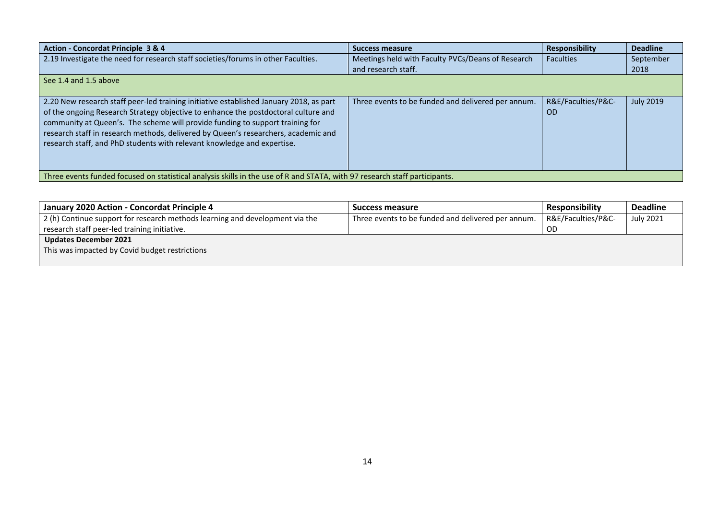| Action - Concordat Principle 3 & 4                                                                                                                                                                                                                                                                                                                                                                                             | Success measure                                    | Responsibility                  | <b>Deadline</b>  |
|--------------------------------------------------------------------------------------------------------------------------------------------------------------------------------------------------------------------------------------------------------------------------------------------------------------------------------------------------------------------------------------------------------------------------------|----------------------------------------------------|---------------------------------|------------------|
| 2.19 Investigate the need for research staff societies/forums in other Faculties.                                                                                                                                                                                                                                                                                                                                              | Meetings held with Faculty PVCs/Deans of Research  | <b>Faculties</b>                | September        |
|                                                                                                                                                                                                                                                                                                                                                                                                                                | and research staff.                                |                                 | 2018             |
| See 1.4 and 1.5 above                                                                                                                                                                                                                                                                                                                                                                                                          |                                                    |                                 |                  |
|                                                                                                                                                                                                                                                                                                                                                                                                                                |                                                    |                                 |                  |
| 2.20 New research staff peer-led training initiative established January 2018, as part<br>of the ongoing Research Strategy objective to enhance the postdoctoral culture and<br>community at Queen's. The scheme will provide funding to support training for<br>research staff in research methods, delivered by Queen's researchers, academic and<br>research staff, and PhD students with relevant knowledge and expertise. | Three events to be funded and delivered per annum. | R&E/Faculties/P&C-<br><b>OD</b> | <b>July 2019</b> |
| Three events funded focused on statistical analysis skills in the use of R and STATA, with 97 research staff participants.                                                                                                                                                                                                                                                                                                     |                                                    |                                 |                  |

| January 2020 Action - Concordat Principle 4                                  | Success measure                                    | <b>Responsibility</b> | <b>Deadline</b>  |
|------------------------------------------------------------------------------|----------------------------------------------------|-----------------------|------------------|
| 2 (h) Continue support for research methods learning and development via the | Three events to be funded and delivered per annum. | R&E/Faculties/P&C-    | <b>July 2021</b> |
| research staff peer-led training initiative.                                 |                                                    | -OD                   |                  |
| <b>Updates December 2021</b>                                                 |                                                    |                       |                  |
| This was impacted by Covid budget restrictions                               |                                                    |                       |                  |
|                                                                              |                                                    |                       |                  |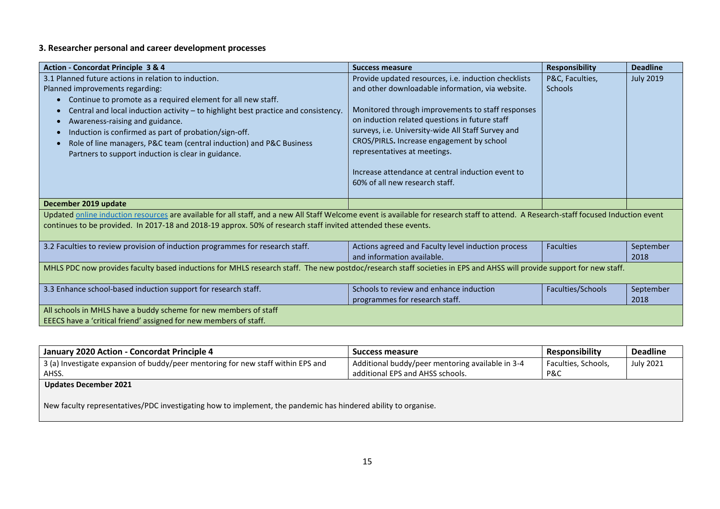## **3. Researcher personal and career development processes**

| <b>Action - Concordat Principle 3 &amp; 4</b>                                                                                                                                         | <b>Success measure</b>                               | <b>Responsibility</b> | <b>Deadline</b>  |
|---------------------------------------------------------------------------------------------------------------------------------------------------------------------------------------|------------------------------------------------------|-----------------------|------------------|
| 3.1 Planned future actions in relation to induction.                                                                                                                                  | Provide updated resources, i.e. induction checklists | P&C, Faculties,       | <b>July 2019</b> |
| Planned improvements regarding:                                                                                                                                                       | and other downloadable information, via website.     | <b>Schools</b>        |                  |
| Continue to promote as a required element for all new staff.                                                                                                                          |                                                      |                       |                  |
| Central and local induction activity - to highlight best practice and consistency.                                                                                                    | Monitored through improvements to staff responses    |                       |                  |
| Awareness-raising and guidance.                                                                                                                                                       | on induction related questions in future staff       |                       |                  |
| Induction is confirmed as part of probation/sign-off.                                                                                                                                 | surveys, i.e. University-wide All Staff Survey and   |                       |                  |
| Role of line managers, P&C team (central induction) and P&C Business                                                                                                                  | CROS/PIRLS. Increase engagement by school            |                       |                  |
| Partners to support induction is clear in guidance.                                                                                                                                   | representatives at meetings.                         |                       |                  |
|                                                                                                                                                                                       |                                                      |                       |                  |
|                                                                                                                                                                                       | Increase attendance at central induction event to    |                       |                  |
|                                                                                                                                                                                       | 60% of all new research staff.                       |                       |                  |
|                                                                                                                                                                                       |                                                      |                       |                  |
| December 2019 update                                                                                                                                                                  |                                                      |                       |                  |
| Updated online induction resources are available for all staff, and a new All Staff Welcome event is available for research staff to attend. A Research-staff focused Induction event |                                                      |                       |                  |
| continues to be provided. In 2017-18 and 2018-19 approx. 50% of research staff invited attended these events.                                                                         |                                                      |                       |                  |
|                                                                                                                                                                                       |                                                      |                       |                  |
| 3.2 Faculties to review provision of induction programmes for research staff.                                                                                                         | Actions agreed and Faculty level induction process   | <b>Faculties</b>      | September        |
|                                                                                                                                                                                       | and information available.                           |                       | 2018             |
| MHLS PDC now provides faculty based inductions for MHLS research staff. The new postdoc/research staff societies in EPS and AHSS will provide support for new staff.                  |                                                      |                       |                  |
|                                                                                                                                                                                       |                                                      |                       |                  |
| 3.3 Enhance school-based induction support for research staff.                                                                                                                        | Schools to review and enhance induction              | Faculties/Schools     | September        |
|                                                                                                                                                                                       | programmes for research staff.                       |                       | 2018             |
| All schools in MHLS have a buddy scheme for new members of staff                                                                                                                      |                                                      |                       |                  |
| EEECS have a 'critical friend' assigned for new members of staff.                                                                                                                     |                                                      |                       |                  |

| January 2020 Action - Concordat Principle 4                                                                    | Success measure                                  | <b>Responsibility</b> | <b>Deadline</b>  |  |
|----------------------------------------------------------------------------------------------------------------|--------------------------------------------------|-----------------------|------------------|--|
| 3 (a) Investigate expansion of buddy/peer mentoring for new staff within EPS and                               | Additional buddy/peer mentoring available in 3-4 | Faculties, Schools,   | <b>July 2021</b> |  |
| AHSS.                                                                                                          | additional EPS and AHSS schools.                 | P&C                   |                  |  |
| <b>Updates December 2021</b>                                                                                   |                                                  |                       |                  |  |
| New faculty representatives/PDC investigating how to implement, the pandemic has hindered ability to organise. |                                                  |                       |                  |  |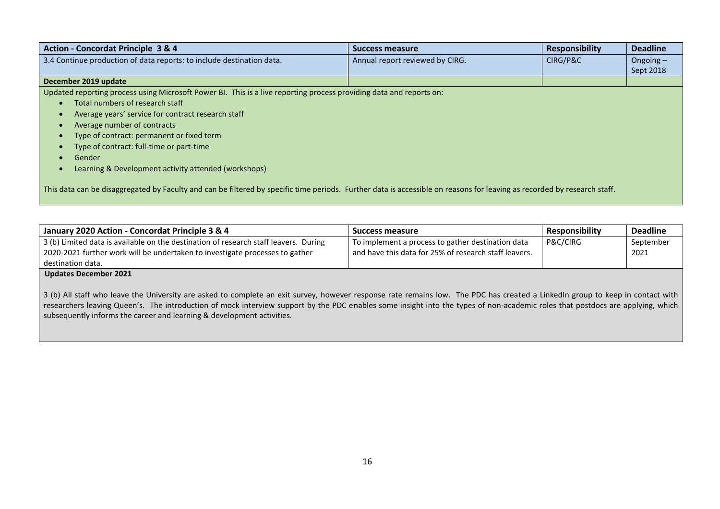| <b>Action - Concordat Principle 3 &amp; 4</b>                                                                                                                            | Success measure                 | <b>Responsibility</b> | <b>Deadline</b> |
|--------------------------------------------------------------------------------------------------------------------------------------------------------------------------|---------------------------------|-----------------------|-----------------|
| 3.4 Continue production of data reports: to include destination data.                                                                                                    | Annual report reviewed by CIRG. | CIRG/P&C              | Ongoing $-$     |
|                                                                                                                                                                          |                                 |                       | Sept 2018       |
| December 2019 update                                                                                                                                                     |                                 |                       |                 |
| Updated reporting process using Microsoft Power BI. This is a live reporting process providing data and reports on:                                                      |                                 |                       |                 |
| Total numbers of research staff                                                                                                                                          |                                 |                       |                 |
| Average years' service for contract research staff                                                                                                                       |                                 |                       |                 |
| Average number of contracts                                                                                                                                              |                                 |                       |                 |
| Type of contract: permanent or fixed term                                                                                                                                |                                 |                       |                 |
| Type of contract: full-time or part-time                                                                                                                                 |                                 |                       |                 |
| Gender                                                                                                                                                                   |                                 |                       |                 |
| Learning & Development activity attended (workshops)                                                                                                                     |                                 |                       |                 |
| This data can be disaggregated by Faculty and can be filtered by specific time periods. Further data is accessible on reasons for leaving as recorded by research staff. |                                 |                       |                 |

| January 2020 Action - Concordat Principle 3 & 4                                      | Success measure                                                | <b>Responsibility</b> | <b>Deadline</b> |
|--------------------------------------------------------------------------------------|----------------------------------------------------------------|-----------------------|-----------------|
| 3 (b) Limited data is available on the destination of research staff leavers. During | <sup>1</sup> To implement a process to gather destination data | P&C/CIRG              | September       |
| 2020-2021 further work will be undertaken to investigate processes to gather         | and have this data for 25% of research staff leavers.          |                       | 2021            |
| destination data.                                                                    |                                                                |                       |                 |

3 (b) All staff who leave the University are asked to complete an exit survey, however response rate remains low. The PDC has created a LinkedIn group to keep in contact with researchers leaving Queen's. The introduction of mock interview support by the PDC enables some insight into the types of non-academic roles that postdocs are applying, which subsequently informs the career and learning & development activities.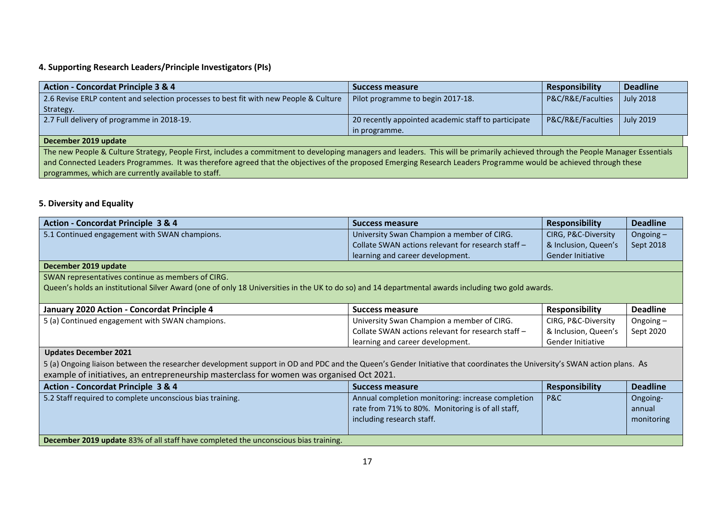# **4. Supporting Research Leaders/Principle Investigators (PIs)**

| <b>Action - Concordat Principle 3 &amp; 4</b>                                                                                                                                    | Success measure                                     | <b>Responsibility</b> | <b>Deadline</b>  |  |
|----------------------------------------------------------------------------------------------------------------------------------------------------------------------------------|-----------------------------------------------------|-----------------------|------------------|--|
| 2.6 Revise ERLP content and selection processes to best fit with new People & Culture                                                                                            | Pilot programme to begin 2017-18.                   | P&C/R&E/Faculties     | <b>July 2018</b> |  |
| Strategy.                                                                                                                                                                        |                                                     |                       |                  |  |
| 2.7 Full delivery of programme in 2018-19.                                                                                                                                       | 20 recently appointed academic staff to participate | P&C/R&E/Faculties     | <b>July 2019</b> |  |
|                                                                                                                                                                                  | in programme.                                       |                       |                  |  |
| December 2019 update                                                                                                                                                             |                                                     |                       |                  |  |
| The new People & Culture Strategy, People First, includes a commitment to developing managers and leaders. This will be primarily achieved through the People Manager Essentials |                                                     |                       |                  |  |
| and Connected Leaders Programmes. It was therefore agreed that the objectives of the proposed Emerging Research Leaders Programme would be achieved through these                |                                                     |                       |                  |  |
| programmes, which are currently available to staff.                                                                                                                              |                                                     |                       |                  |  |

## **5. Diversity and Equality**

| <b>Action - Concordat Principle 3 &amp; 4</b>                                                                                                                            | Success measure                                    | <b>Responsibility</b>    | <b>Deadline</b> |
|--------------------------------------------------------------------------------------------------------------------------------------------------------------------------|----------------------------------------------------|--------------------------|-----------------|
| 5.1 Continued engagement with SWAN champions.                                                                                                                            | University Swan Champion a member of CIRG.         | CIRG, P&C-Diversity      | Ongoing $-$     |
|                                                                                                                                                                          | Collate SWAN actions relevant for research staff - | & Inclusion, Queen's     | Sept 2018       |
|                                                                                                                                                                          | learning and career development.                   | <b>Gender Initiative</b> |                 |
| December 2019 update                                                                                                                                                     |                                                    |                          |                 |
| SWAN representatives continue as members of CIRG.                                                                                                                        |                                                    |                          |                 |
| Queen's holds an institutional Silver Award (one of only 18 Universities in the UK to do so) and 14 departmental awards including two gold awards.                       |                                                    |                          |                 |
| January 2020 Action - Concordat Principle 4                                                                                                                              | Success measure                                    | <b>Responsibility</b>    | <b>Deadline</b> |
| 5 (a) Continued engagement with SWAN champions.                                                                                                                          | University Swan Champion a member of CIRG.         | CIRG, P&C-Diversity      | Ongoing $-$     |
|                                                                                                                                                                          | Collate SWAN actions relevant for research staff - | & Inclusion, Queen's     | Sept 2020       |
|                                                                                                                                                                          | learning and career development.                   | Gender Initiative        |                 |
| <b>Updates December 2021</b>                                                                                                                                             |                                                    |                          |                 |
| 5 (a) Ongoing liaison between the researcher development support in OD and PDC and the Queen's Gender Initiative that coordinates the University's SWAN action plans. As |                                                    |                          |                 |
| example of initiatives, an entrepreneurship masterclass for women was organised Oct 2021.                                                                                |                                                    |                          |                 |
| <b>Action - Concordat Principle 3 &amp; 4</b>                                                                                                                            | <b>Success measure</b>                             | <b>Responsibility</b>    | <b>Deadline</b> |
| 5.2 Staff required to complete unconscious bias training.                                                                                                                | Annual completion monitoring: increase completion  | P&C                      | Ongoing-        |
|                                                                                                                                                                          | rate from 71% to 80%. Monitoring is of all staff,  |                          | annual          |
|                                                                                                                                                                          | including research staff.                          |                          | monitoring      |
|                                                                                                                                                                          |                                                    |                          |                 |
| December 2019 update 83% of all staff have completed the unconscious bias training.                                                                                      |                                                    |                          |                 |